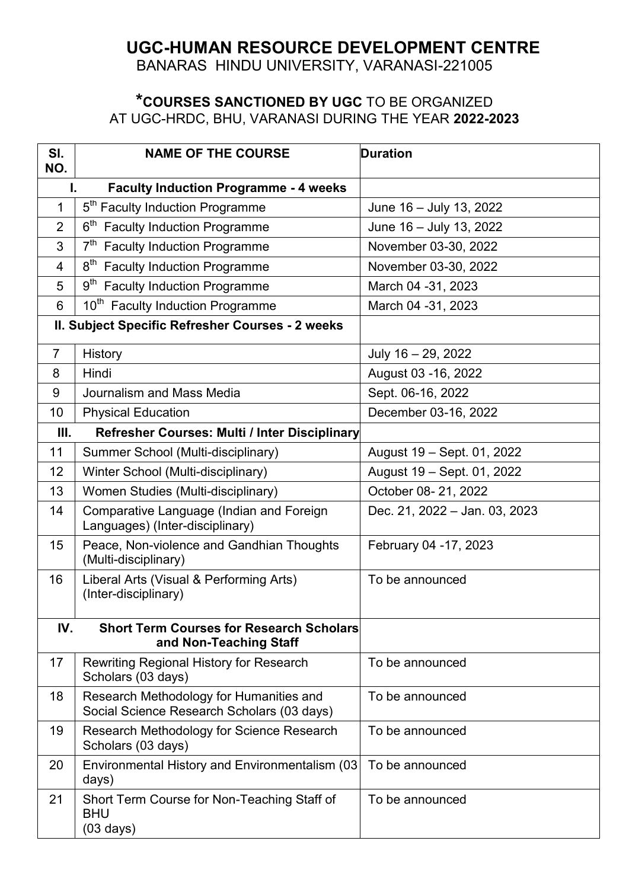## **UGC-HUMAN RESOURCE DEVELOPMENT CENTRE**

BANARAS HINDU UNIVERSITY, VARANASI-221005

## **\*COURSES SANCTIONED BY UGC** TO BE ORGANIZED AT UGC-HRDC, BHU, VARANASI DURING THE YEAR **2022-2023**

| SI.<br>NO.                                         | <b>NAME OF THE COURSE</b>                                                             | <b>Duration</b>               |
|----------------------------------------------------|---------------------------------------------------------------------------------------|-------------------------------|
| <b>Faculty Induction Programme - 4 weeks</b><br>L. |                                                                                       |                               |
| 1                                                  | 5 <sup>th</sup> Faculty Induction Programme                                           | June 16 - July 13, 2022       |
| $\overline{2}$                                     | 6 <sup>th</sup> Faculty Induction Programme                                           | June 16 - July 13, 2022       |
| 3                                                  | 7 <sup>th</sup><br><b>Faculty Induction Programme</b>                                 | November 03-30, 2022          |
| $\overline{4}$                                     | 8 <sup>th</sup> Faculty Induction Programme                                           | November 03-30, 2022          |
| 5                                                  | 9 <sup>th</sup> Faculty Induction Programme                                           | March 04 - 31, 2023           |
| 6                                                  | 10 <sup>th</sup> Faculty Induction Programme                                          | March 04 - 31, 2023           |
| II. Subject Specific Refresher Courses - 2 weeks   |                                                                                       |                               |
| $\overline{7}$                                     | History                                                                               | July 16 - 29, 2022            |
| 8                                                  | Hindi                                                                                 | August 03 - 16, 2022          |
| 9                                                  | Journalism and Mass Media                                                             | Sept. 06-16, 2022             |
| 10                                                 | <b>Physical Education</b>                                                             | December 03-16, 2022          |
| III.                                               | Refresher Courses: Multi / Inter Disciplinary                                         |                               |
| 11                                                 | Summer School (Multi-disciplinary)                                                    | August 19 - Sept. 01, 2022    |
| 12                                                 | Winter School (Multi-disciplinary)                                                    | August 19 - Sept. 01, 2022    |
| 13                                                 | Women Studies (Multi-disciplinary)                                                    | October 08-21, 2022           |
| 14                                                 | Comparative Language (Indian and Foreign<br>Languages) (Inter-disciplinary)           | Dec. 21, 2022 - Jan. 03, 2023 |
| 15                                                 | Peace, Non-violence and Gandhian Thoughts<br>(Multi-disciplinary)                     | February 04 -17, 2023         |
| 16                                                 | Liberal Arts (Visual & Performing Arts)<br>(Inter-disciplinary)                       | To be announced               |
| IV.                                                | <b>Short Term Courses for Research Scholars</b><br>and Non-Teaching Staff             |                               |
| 17                                                 | <b>Rewriting Regional History for Research</b><br>Scholars (03 days)                  | To be announced               |
| 18                                                 | Research Methodology for Humanities and<br>Social Science Research Scholars (03 days) | To be announced               |
| 19                                                 | Research Methodology for Science Research<br>Scholars (03 days)                       | To be announced               |
| 20                                                 | Environmental History and Environmentalism (03<br>days)                               | To be announced               |
| 21                                                 | Short Term Course for Non-Teaching Staff of<br><b>BHU</b><br>$(03 \text{ days})$      | To be announced               |